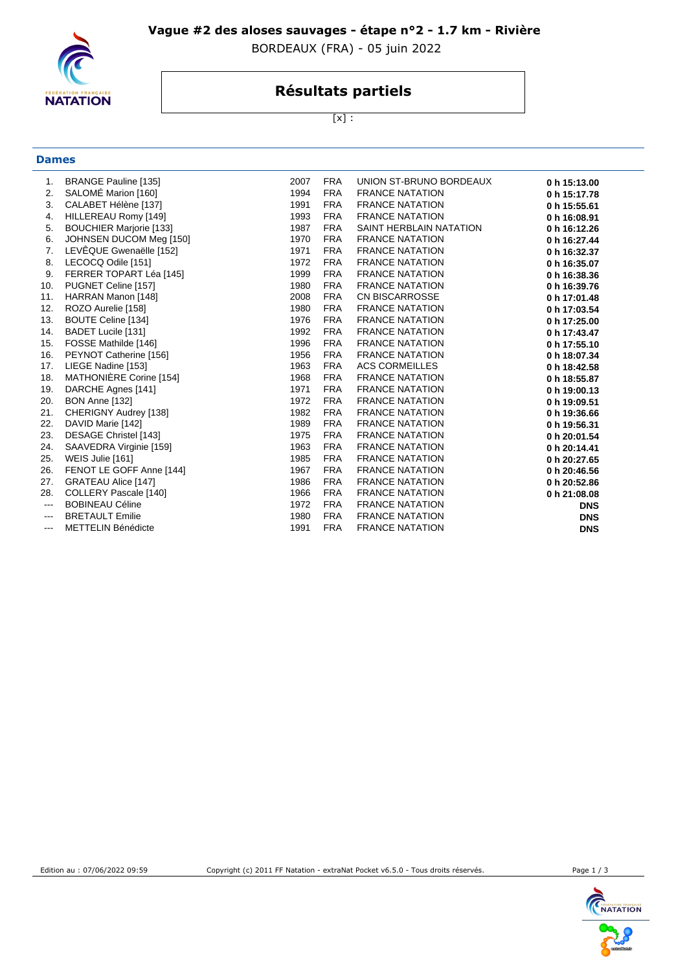

### **Vague #2 des aloses sauvages - étape n°2 - 1.7 km - Rivière**

BORDEAUX (FRA) - 05 juin 2022

## **Résultats partiels**

[x] :

# **Dames**

| 1.            | <b>BRANGE Pauline [135]</b>    | 2007 | <b>FRA</b> | UNION ST-BRUNO BORDEAUX | 0 h 15:13.00 |
|---------------|--------------------------------|------|------------|-------------------------|--------------|
| 2.            | SALOMÉ Marion [160]            | 1994 | <b>FRA</b> | <b>FRANCE NATATION</b>  | 0 h 15:17.78 |
| 3.            | CALABET Hélène [137]           | 1991 | <b>FRA</b> | <b>FRANCE NATATION</b>  | 0 h 15:55.61 |
| 4.            | HILLEREAU Romy [149]           | 1993 | <b>FRA</b> | <b>FRANCE NATATION</b>  | 0 h 16:08.91 |
| 5.            | <b>BOUCHIER Marjorie [133]</b> | 1987 | <b>FRA</b> | SAINT HERBLAIN NATATION | 0 h 16:12.26 |
| 6.            | JOHNSEN DUCOM Meg [150]        | 1970 | <b>FRA</b> | <b>FRANCE NATATION</b>  | 0 h 16:27.44 |
| 7.            | LEVÊQUE Gwenaëlle [152]        | 1971 | <b>FRA</b> | <b>FRANCE NATATION</b>  | 0 h 16:32.37 |
| 8.            | LECOCQ Odile [151]             | 1972 | <b>FRA</b> | <b>FRANCE NATATION</b>  | 0 h 16:35.07 |
| 9.            | FERRER TOPART Léa [145]        | 1999 | <b>FRA</b> | <b>FRANCE NATATION</b>  | 0 h 16:38.36 |
| 10.           | PUGNET Celine [157]            | 1980 | <b>FRA</b> | <b>FRANCE NATATION</b>  | 0 h 16:39.76 |
| 11.           | HARRAN Manon [148]             | 2008 | <b>FRA</b> | <b>CN BISCARROSSE</b>   | 0 h 17:01.48 |
| 12.           | ROZO Aurelie [158]             | 1980 | <b>FRA</b> | <b>FRANCE NATATION</b>  | 0 h 17:03.54 |
| 13.           | <b>BOUTE Celine [134]</b>      | 1976 | <b>FRA</b> | <b>FRANCE NATATION</b>  | 0 h 17:25.00 |
| 14.           | BADET Lucile [131]             | 1992 | <b>FRA</b> | <b>FRANCE NATATION</b>  | 0 h 17:43.47 |
| 15.           | FOSSE Mathilde [146]           | 1996 | <b>FRA</b> | <b>FRANCE NATATION</b>  | 0 h 17:55.10 |
| 16.           | PEYNOT Catherine [156]         | 1956 | <b>FRA</b> | <b>FRANCE NATATION</b>  | 0 h 18:07.34 |
| 17.           | LIEGE Nadine [153]             | 1963 | <b>FRA</b> | <b>ACS CORMEILLES</b>   | 0 h 18:42.58 |
| 18.           | MATHONIÈRE Corine [154]        | 1968 | <b>FRA</b> | <b>FRANCE NATATION</b>  | 0 h 18:55.87 |
| 19.           | DARCHE Agnes [141]             | 1971 | <b>FRA</b> | <b>FRANCE NATATION</b>  | 0 h 19:00.13 |
| 20.           | BON Anne [132]                 | 1972 | <b>FRA</b> | <b>FRANCE NATATION</b>  | 0 h 19:09.51 |
| 21.           | CHERIGNY Audrey [138]          | 1982 | <b>FRA</b> | <b>FRANCE NATATION</b>  | 0 h 19:36.66 |
| 22.           | DAVID Marie [142]              | 1989 | FRA        | <b>FRANCE NATATION</b>  | 0 h 19:56.31 |
| 23.           | DESAGE Christel [143]          | 1975 | <b>FRA</b> | <b>FRANCE NATATION</b>  | 0 h 20:01.54 |
| 24.           | SAAVEDRA Virginie [159]        | 1963 | <b>FRA</b> | <b>FRANCE NATATION</b>  | 0 h 20:14.41 |
| 25.           | WEIS Julie [161]               | 1985 | <b>FRA</b> | <b>FRANCE NATATION</b>  | 0 h 20:27.65 |
| 26.           | FENOT LE GOFF Anne [144]       | 1967 | <b>FRA</b> | <b>FRANCE NATATION</b>  | 0 h 20:46.56 |
| 27.           | <b>GRATEAU Alice [147]</b>     | 1986 | <b>FRA</b> | <b>FRANCE NATATION</b>  | 0 h 20:52.86 |
| 28.           | COLLERY Pascale [140]          | 1966 | <b>FRA</b> | <b>FRANCE NATATION</b>  | 0 h 21:08.08 |
| ---           | <b>BOBINEAU Céline</b>         | 1972 | <b>FRA</b> | <b>FRANCE NATATION</b>  | <b>DNS</b>   |
| $---$         | <b>BRETAULT Emilie</b>         | 1980 | <b>FRA</b> | <b>FRANCE NATATION</b>  | <b>DNS</b>   |
| $\frac{1}{2}$ | <b>METTELIN Bénédicte</b>      | 1991 | <b>FRA</b> | <b>FRANCE NATATION</b>  | <b>DNS</b>   |
|               |                                |      |            |                         |              |



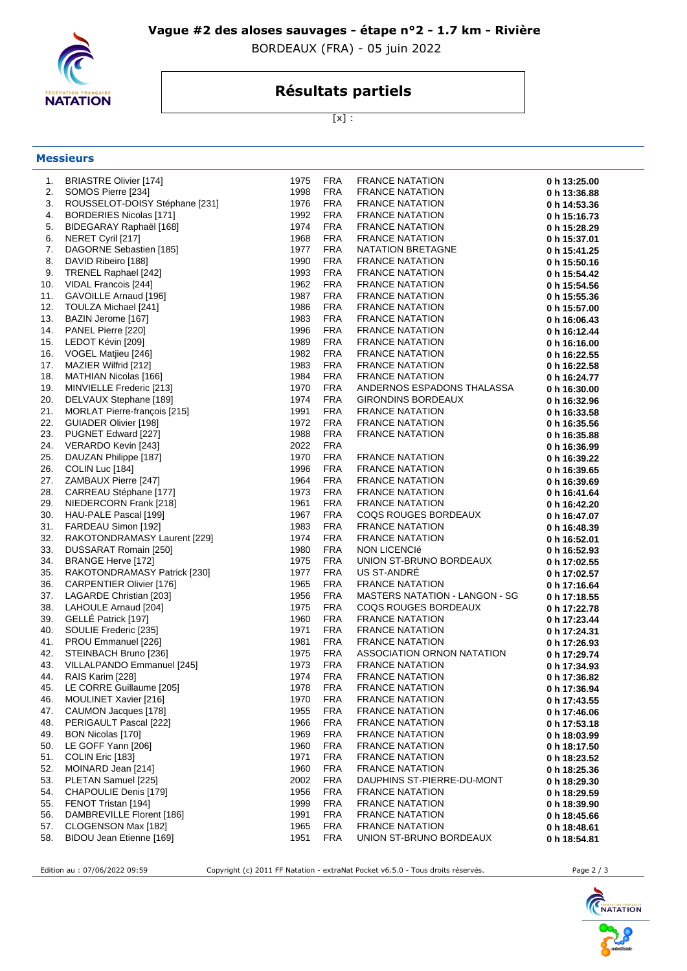

**Messieurs**

### **Vague #2 des aloses sauvages - étape n°2 - 1.7 km - Rivière**

BORDEAUX (FRA) - 05 juin 2022

## **Résultats partiels**

[x] :

| 1.  | <b>BRIASTRE Olivier [174]</b>   | 1975 | <b>FRA</b> | <b>FRANCE NATATION</b>                | 0 h 13:25.00 |
|-----|---------------------------------|------|------------|---------------------------------------|--------------|
| 2.  | SOMOS Pierre [234]              | 1998 | <b>FRA</b> | <b>FRANCE NATATION</b>                | 0 h 13:36.88 |
| 3.  | ROUSSELOT-DOISY Stéphane [231]  | 1976 | <b>FRA</b> | <b>FRANCE NATATION</b>                | 0 h 14:53.36 |
| 4.  | <b>BORDERIES Nicolas [171]</b>  | 1992 | <b>FRA</b> | <b>FRANCE NATATION</b>                | 0 h 15:16.73 |
| 5.  | BIDEGARAY Raphaël [168]         | 1974 | <b>FRA</b> | <b>FRANCE NATATION</b>                | 0 h 15:28.29 |
| 6.  | NERET Cyril [217]               | 1968 | <b>FRA</b> | <b>FRANCE NATATION</b>                | 0 h 15:37.01 |
| 7.  | DAGORNE Sebastien [185]         | 1977 | <b>FRA</b> | NATATION BRETAGNE                     | 0 h 15:41.25 |
| 8.  | DAVID Ribeiro [188]             | 1990 | <b>FRA</b> | <b>FRANCE NATATION</b>                | 0 h 15:50.16 |
| 9.  | TRENEL Raphael [242]            | 1993 | <b>FRA</b> | <b>FRANCE NATATION</b>                | 0 h 15:54.42 |
| 10. | VIDAL Francois [244]            | 1962 | <b>FRA</b> | <b>FRANCE NATATION</b>                | 0 h 15:54.56 |
| 11. | GAVOILLE Arnaud [196]           | 1987 | <b>FRA</b> | <b>FRANCE NATATION</b>                | 0 h 15:55.36 |
| 12. | TOULZA Michael [241]            | 1986 | <b>FRA</b> | <b>FRANCE NATATION</b>                | 0 h 15:57.00 |
| 13. | BAZIN Jerome [167]              | 1983 | <b>FRA</b> | <b>FRANCE NATATION</b>                | 0 h 16:06.43 |
| 14. | PANEL Pierre [220]              | 1996 | <b>FRA</b> | <b>FRANCE NATATION</b>                | 0 h 16:12.44 |
| 15. | LEDOT Kévin [209]               | 1989 | <b>FRA</b> | <b>FRANCE NATATION</b>                | 0 h 16:16.00 |
| 16. | VOGEL Matjieu [246]             | 1982 | <b>FRA</b> | <b>FRANCE NATATION</b>                | 0 h 16:22.55 |
| 17. | MAZIER Wilfrid [212]            | 1983 | <b>FRA</b> | <b>FRANCE NATATION</b>                | 0 h 16:22.58 |
| 18. | MATHIAN Nicolas [166]           | 1984 | <b>FRA</b> | <b>FRANCE NATATION</b>                | 0 h 16:24.77 |
| 19. | MINVIELLE Frederic [213]        | 1970 | <b>FRA</b> | ANDERNOS ESPADONS THALASSA            | 0 h 16:30.00 |
| 20. | DELVAUX Stephane [189]          | 1974 | <b>FRA</b> | <b>GIRONDINS BORDEAUX</b>             | 0 h 16:32.96 |
| 21. | MORLAT Pierre-françois [215]    | 1991 | <b>FRA</b> | <b>FRANCE NATATION</b>                | 0 h 16:33.58 |
| 22. | GUIADER Olivier [198]           | 1972 | <b>FRA</b> | <b>FRANCE NATATION</b>                | 0 h 16:35.56 |
| 23. | PUGNET Edward [227]             | 1988 | <b>FRA</b> | <b>FRANCE NATATION</b>                | 0 h 16:35.88 |
| 24. | VERARDO Kevin [243]             | 2022 | <b>FRA</b> |                                       | 0 h 16:36.99 |
| 25. | DAUZAN Philippe [187]           | 1970 | <b>FRA</b> | <b>FRANCE NATATION</b>                | 0 h 16:39.22 |
| 26. | COLIN Luc [184]                 | 1996 | <b>FRA</b> | <b>FRANCE NATATION</b>                | 0 h 16:39.65 |
| 27. | ZAMBAUX Pierre [247]            | 1964 | <b>FRA</b> | <b>FRANCE NATATION</b>                | 0 h 16:39.69 |
| 28. | CARREAU Stéphane [177]          | 1973 | <b>FRA</b> | <b>FRANCE NATATION</b>                | 0 h 16:41.64 |
| 29. | NIEDERCORN Frank [218]          | 1961 | <b>FRA</b> | <b>FRANCE NATATION</b>                | 0 h 16:42.20 |
| 30. | HAU-PALE Pascal [199]           | 1967 | <b>FRA</b> | COQS ROUGES BORDEAUX                  | 0 h 16:47.07 |
| 31. | FARDEAU Simon [192]             | 1983 | <b>FRA</b> | <b>FRANCE NATATION</b>                | 0 h 16:48.39 |
| 32. | RAKOTONDRAMASY Laurent [229]    | 1974 | <b>FRA</b> | <b>FRANCE NATATION</b>                | 0 h 16:52.01 |
| 33. | DUSSARAT Romain [250]           | 1980 | <b>FRA</b> | NON LICENCIé                          | 0 h 16:52.93 |
| 34. | <b>BRANGE Herve [172]</b>       | 1975 | <b>FRA</b> | UNION ST-BRUNO BORDEAUX               | 0 h 17:02.55 |
| 35. | RAKOTONDRAMASY Patrick [230]    | 1977 | <b>FRA</b> | <b>US ST-ANDRE</b>                    | 0 h 17:02.57 |
| 36. | <b>CARPENTIER Olivier [176]</b> | 1965 | <b>FRA</b> | <b>FRANCE NATATION</b>                | 0 h 17:16.64 |
| 37. | LAGARDE Christian [203]         | 1956 | <b>FRA</b> | <b>MASTERS NATATION - LANGON - SG</b> | 0 h 17:18.55 |
| 38. | LAHOULE Arnaud [204]            | 1975 | <b>FRA</b> | <b>COQS ROUGES BORDEAUX</b>           | 0 h 17:22.78 |
| 39. | GELLÉ Patrick [197]             | 1960 | <b>FRA</b> | <b>FRANCE NATATION</b>                | 0 h 17:23.44 |
| 40. | SOULIE Frederic [235]           | 1971 | <b>FRA</b> | <b>FRANCE NATATION</b>                | 0 h 17:24.31 |
| 41. | PROU Emmanuel [226]             | 1981 | <b>FRA</b> | <b>FRANCE NATATION</b>                | 0 h 17:26.93 |
| 42. | STEINBACH Bruno [236]           | 1975 | <b>FRA</b> | ASSOCIATION ORNON NATATION            | 0 h 17:29.74 |
| 43. | VILLALPANDO Emmanuel [245]      | 1973 | <b>FRA</b> | <b>FRANCE NATATION</b>                | 0 h 17:34.93 |
| 44. | RAIS Karim [228]                | 1974 | <b>FRA</b> | <b>FRANCE NATATION</b>                | 0 h 17:36.82 |
| 45. | LE CORRE Guillaume [205]        | 1978 | <b>FRA</b> | <b>FRANCE NATATION</b>                | 0 h 17:36.94 |
| 46. | MOULINET Xavier [216]           | 1970 | <b>FRA</b> | <b>FRANCE NATATION</b>                | 0 h 17:43.55 |
| 47. | CAUMON Jacques [178]            | 1955 | <b>FRA</b> | <b>FRANCE NATATION</b>                | 0 h 17:46.06 |
| 48. | PERIGAULT Pascal [222]          | 1966 | <b>FRA</b> | <b>FRANCE NATATION</b>                | 0 h 17:53.18 |
| 49. | BON Nicolas [170]               | 1969 | <b>FRA</b> | <b>FRANCE NATATION</b>                | 0 h 18:03.99 |
| 50. | LE GOFF Yann [206]              | 1960 | <b>FRA</b> | <b>FRANCE NATATION</b>                | 0 h 18:17.50 |
| 51. | COLIN Eric [183]                | 1971 | <b>FRA</b> | <b>FRANCE NATATION</b>                | 0 h 18:23.52 |
| 52. | MOINARD Jean [214]              | 1960 | <b>FRA</b> | <b>FRANCE NATATION</b>                | 0 h 18:25.36 |
| 53. | PLETAN Samuel [225]             | 2002 | <b>FRA</b> | DAUPHINS ST-PIERRE-DU-MONT            | 0 h 18:29.30 |
| 54. | CHAPOULIE Denis [179]           | 1956 | <b>FRA</b> | <b>FRANCE NATATION</b>                | 0 h 18:29.59 |
| 55. | FENOT Tristan [194]             | 1999 | <b>FRA</b> | <b>FRANCE NATATION</b>                | 0 h 18:39.90 |
| 56. | DAMBREVILLE Florent [186]       | 1991 | <b>FRA</b> | <b>FRANCE NATATION</b>                | 0 h 18:45.66 |
| 57. | CLOGENSON Max [182]             | 1965 | <b>FRA</b> | <b>FRANCE NATATION</b>                | 0 h 18:48.61 |
| 58. | BIDOU Jean Etienne [169]        | 1951 | <b>FRA</b> | UNION ST-BRUNO BORDEAUX               | 0 h 18:54.81 |

Edition au : 07/06/2022 09:59 Copyright (c) 2011 FF Natation - extraNat Pocket v6.5.0 - Tous droits réservés. Page 2 / 3